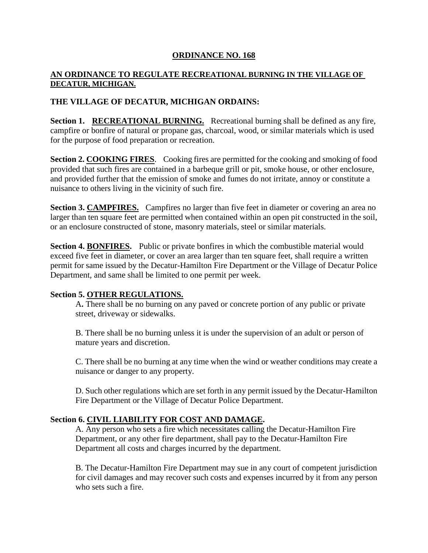# **ORDINANCE NO. 168**

### **AN ORDINANCE TO REGULATE RECREATIONAL BURNING IN THE VILLAGE OF DECATUR, MICHIGAN.**

# **THE VILLAGE OF DECATUR, MICHIGAN ORDAINS:**

**Section 1. RECREATIONAL BURNING.** Recreational burning shall be defined as any fire, campfire or bonfire of natural or propane gas, charcoal, wood, or similar materials which is used for the purpose of food preparation or recreation.

**Section 2. COOKING FIRES**. Cooking fires are permitted for the cooking and smoking of food provided that such fires are contained in a barbeque grill or pit, smoke house, or other enclosure, and provided further that the emission of smoke and fumes do not irritate, annoy or constitute a nuisance to others living in the vicinity of such fire.

**Section 3. CAMPFIRES.** Campfires no larger than five feet in diameter or covering an area no larger than ten square feet are permitted when contained within an open pit constructed in the soil, or an enclosure constructed of stone, masonry materials, steel or similar materials.

**Section 4. BONFIRES.** Public or private bonfires in which the combustible material would exceed five feet in diameter, or cover an area larger than ten square feet, shall require a written permit for same issued by the Decatur-Hamilton Fire Department or the Village of Decatur Police Department, and same shall be limited to one permit per week.

### **Section 5. OTHER REGULATIONS.**

A**.** There shall be no burning on any paved or concrete portion of any public or private street, driveway or sidewalks.

B. There shall be no burning unless it is under the supervision of an adult or person of mature years and discretion.

C. There shall be no burning at any time when the wind or weather conditions may create a nuisance or danger to any property.

D. Such other regulations which are set forth in any permit issued by the Decatur-Hamilton Fire Department or the Village of Decatur Police Department.

### **Section 6. CIVIL LIABILITY FOR COST AND DAMAGE.**

A. Any person who sets a fire which necessitates calling the Decatur-Hamilton Fire Department, or any other fire department, shall pay to the Decatur-Hamilton Fire Department all costs and charges incurred by the department.

B. The Decatur-Hamilton Fire Department may sue in any court of competent jurisdiction for civil damages and may recover such costs and expenses incurred by it from any person who sets such a fire.